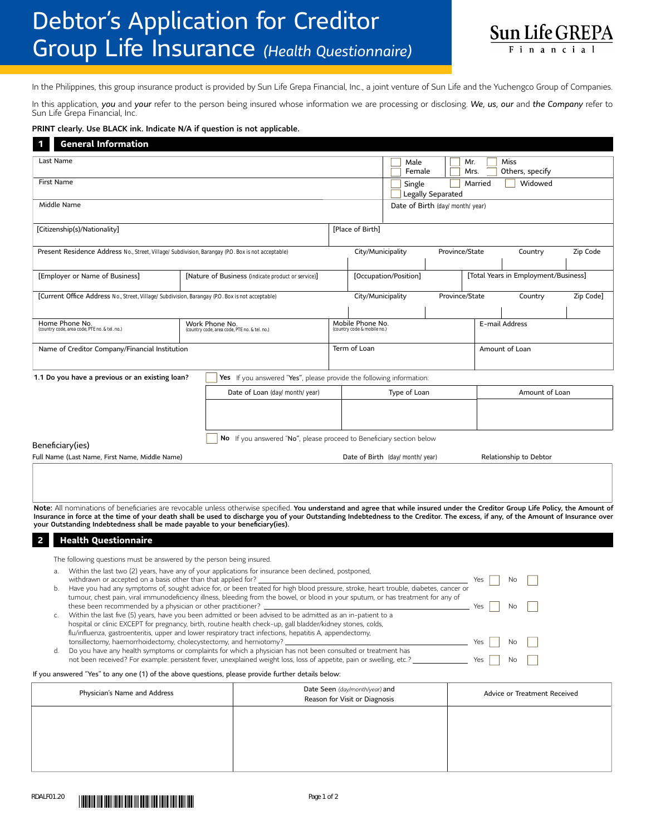## Debtor's Application for Creditor Group Life Insurance *(Health Questionnaire)*



In the Philippines, this group insurance product is provided by Sun Life Grepa Financial, Inc., a joint venture of Sun Life and the Yuchengco Group of Companies.

In this application, *you* and *your* refer to the person being insured whose information we are processing or disclosing. *We, us, our* and *the Company* refer to Sun Life Grepa Financial, Inc.

## PRINT clearly. Use BLACK ink. Indicate N/A if question is not applicable.

| <b>General Information</b>                                                                                                                                                                                                                                         |                                                                      |                                                                      |                       |                   |                                                                 |                                                         |  |                                      |                |                              |          |           |  |  |  |
|--------------------------------------------------------------------------------------------------------------------------------------------------------------------------------------------------------------------------------------------------------------------|----------------------------------------------------------------------|----------------------------------------------------------------------|-----------------------|-------------------|-----------------------------------------------------------------|---------------------------------------------------------|--|--------------------------------------|----------------|------------------------------|----------|-----------|--|--|--|
| Last Name                                                                                                                                                                                                                                                          |                                                                      |                                                                      |                       |                   |                                                                 | Male                                                    |  | Mr.                                  |                | Miss                         |          |           |  |  |  |
| First Name                                                                                                                                                                                                                                                         |                                                                      |                                                                      |                       |                   |                                                                 | Female<br>Others, specify<br>Mrs.<br>Widowed<br>Married |  |                                      |                |                              |          |           |  |  |  |
|                                                                                                                                                                                                                                                                    |                                                                      |                                                                      |                       |                   |                                                                 | Single<br>Legally Separated                             |  |                                      |                |                              |          |           |  |  |  |
| Middle Name                                                                                                                                                                                                                                                        |                                                                      |                                                                      |                       |                   |                                                                 | Date of Birth (day/month/year)                          |  |                                      |                |                              |          |           |  |  |  |
| [Citizenship(s)/Nationality]                                                                                                                                                                                                                                       |                                                                      | [Place of Birth]                                                     |                       |                   |                                                                 |                                                         |  |                                      |                |                              |          |           |  |  |  |
| Present Residence Address No., Street, Village/Subdivision, Barangay (P.O. Box is not acceptable)                                                                                                                                                                  |                                                                      |                                                                      |                       |                   |                                                                 | Province/State                                          |  |                                      | Country        |                              | Zip Code |           |  |  |  |
|                                                                                                                                                                                                                                                                    |                                                                      |                                                                      | City/Municipality     |                   |                                                                 |                                                         |  |                                      |                |                              |          |           |  |  |  |
| [Employer or Name of Business]                                                                                                                                                                                                                                     | [Nature of Business (indicate product or service)]                   |                                                                      | [Occupation/Position] |                   |                                                                 |                                                         |  | [Total Years in Employment/Business] |                |                              |          |           |  |  |  |
| [Current Office Address No., Street, Village/Subdivision, Barangay (P.O. Box is not acceptable)                                                                                                                                                                    |                                                                      |                                                                      |                       | City/Municipality |                                                                 |                                                         |  | Province/State                       |                | Country                      |          | Zip Code] |  |  |  |
|                                                                                                                                                                                                                                                                    |                                                                      |                                                                      |                       |                   |                                                                 |                                                         |  |                                      |                |                              |          |           |  |  |  |
| Home Phone No.<br>(country code, area code, PTE no. & tel. no.)                                                                                                                                                                                                    |                                                                      | Work Phone No.<br>(country code, area code, PTE no. & tel. no.)      |                       |                   | Mobile Phone No.<br>(country code & mobile no.)                 |                                                         |  |                                      |                | E-mail Address               |          |           |  |  |  |
| Name of Creditor Company/Financial Institution                                                                                                                                                                                                                     |                                                                      |                                                                      |                       | Term of Loan      |                                                                 |                                                         |  |                                      | Amount of Loan |                              |          |           |  |  |  |
| 1.1 Do you have a previous or an existing loan?                                                                                                                                                                                                                    | Yes If you answered "Yes", please provide the following information: |                                                                      |                       |                   |                                                                 |                                                         |  |                                      |                |                              |          |           |  |  |  |
|                                                                                                                                                                                                                                                                    | Date of Loan (day/month/year)                                        | Type of Loan                                                         |                       |                   |                                                                 |                                                         |  | Amount of Loan                       |                |                              |          |           |  |  |  |
|                                                                                                                                                                                                                                                                    |                                                                      |                                                                      |                       |                   |                                                                 |                                                         |  |                                      |                |                              |          |           |  |  |  |
|                                                                                                                                                                                                                                                                    |                                                                      |                                                                      |                       |                   |                                                                 |                                                         |  |                                      |                |                              |          |           |  |  |  |
| Beneficiary(ies)                                                                                                                                                                                                                                                   |                                                                      | No If you answered "No", please proceed to Beneficiary section below |                       |                   |                                                                 |                                                         |  |                                      |                |                              |          |           |  |  |  |
| Full Name (Last Name, First Name, Middle Name)                                                                                                                                                                                                                     |                                                                      | Relationship to Debtor<br>Date of Birth (day/month/year)             |                       |                   |                                                                 |                                                         |  |                                      |                |                              |          |           |  |  |  |
|                                                                                                                                                                                                                                                                    |                                                                      |                                                                      |                       |                   |                                                                 |                                                         |  |                                      |                |                              |          |           |  |  |  |
|                                                                                                                                                                                                                                                                    |                                                                      |                                                                      |                       |                   |                                                                 |                                                         |  |                                      |                |                              |          |           |  |  |  |
| Note: All nominations of beneficiaries are revocable unless otherwise specified. You understand and agree that while insured under the Creditor Group Life Policy, the Amount of                                                                                   |                                                                      |                                                                      |                       |                   |                                                                 |                                                         |  |                                      |                |                              |          |           |  |  |  |
| Insurance in force at the time of your death shall be used to discharge you of your Outstanding Indebtedness to the Creditor. The excess, if any, of the Amount of Insurance over<br>your Outstanding Indebtedness shall be made payable to your beneficiary(ies). |                                                                      |                                                                      |                       |                   |                                                                 |                                                         |  |                                      |                |                              |          |           |  |  |  |
| <b>Health Questionnaire</b><br>2                                                                                                                                                                                                                                   |                                                                      |                                                                      |                       |                   |                                                                 |                                                         |  |                                      |                |                              |          |           |  |  |  |
| The following questions must be answered by the person being insured.                                                                                                                                                                                              |                                                                      |                                                                      |                       |                   |                                                                 |                                                         |  |                                      |                |                              |          |           |  |  |  |
| Within the last two (2) years, have any of your applications for insurance been declined, postponed,<br>a.                                                                                                                                                         |                                                                      |                                                                      |                       |                   |                                                                 |                                                         |  |                                      |                |                              |          |           |  |  |  |
| withdrawn or accepted on a basis other than that applied for?<br>Yes<br>No<br>Have you had any symptoms of, sought advice for, or been treated for high blood pressure, stroke, heart trouble, diabetes, cancer or<br>b.                                           |                                                                      |                                                                      |                       |                   |                                                                 |                                                         |  |                                      |                |                              |          |           |  |  |  |
| tumour, chest pain, viral immunodeficiency illness, bleeding from the bowel, or blood in your sputum, or has treatment for any of                                                                                                                                  |                                                                      |                                                                      |                       |                   |                                                                 |                                                         |  |                                      |                |                              |          |           |  |  |  |
| these been recommended by a physician or other practitioner?<br>Yes<br>No<br>Within the last five (5) years, have you been admitted or been advised to be admitted as an in-patient to a                                                                           |                                                                      |                                                                      |                       |                   |                                                                 |                                                         |  |                                      |                |                              |          |           |  |  |  |
| hospital or clinic EXCEPT for pregnancy, birth, routine health check-up, gall bladder/kidney stones, colds,<br>flu/influenza, gastroenteritis, upper and lower respiratory tract infections, hepatitis A, appendectomy,                                            |                                                                      |                                                                      |                       |                   |                                                                 |                                                         |  |                                      |                |                              |          |           |  |  |  |
| tonsillectomy, haemorrhoidectomy, cholecystectomy, and herniotomy? _                                                                                                                                                                                               |                                                                      |                                                                      |                       |                   |                                                                 |                                                         |  | Yes                                  |                | No                           |          |           |  |  |  |
| d. Do you have any health symptoms or complaints for which a physician has not been consulted or treatment has<br>not been received? For example: persistent fever, unexplained weight loss, loss of appetite, pain or swelling, etc.?<br>Yes<br>No                |                                                                      |                                                                      |                       |                   |                                                                 |                                                         |  |                                      |                |                              |          |           |  |  |  |
| If you answered "Yes" to any one (1) of the above questions, please provide further details below:                                                                                                                                                                 |                                                                      |                                                                      |                       |                   |                                                                 |                                                         |  |                                      |                |                              |          |           |  |  |  |
| Physician's Name and Address                                                                                                                                                                                                                                       |                                                                      |                                                                      |                       |                   | Date Seen (day/month/year) and<br>Reason for Visit or Diagnosis |                                                         |  |                                      |                | Advice or Treatment Received |          |           |  |  |  |
|                                                                                                                                                                                                                                                                    |                                                                      |                                                                      |                       |                   |                                                                 |                                                         |  |                                      |                |                              |          |           |  |  |  |
|                                                                                                                                                                                                                                                                    |                                                                      |                                                                      |                       |                   |                                                                 |                                                         |  |                                      |                |                              |          |           |  |  |  |
|                                                                                                                                                                                                                                                                    |                                                                      |                                                                      |                       |                   |                                                                 |                                                         |  |                                      |                |                              |          |           |  |  |  |
|                                                                                                                                                                                                                                                                    |                                                                      |                                                                      |                       |                   |                                                                 |                                                         |  |                                      |                |                              |          |           |  |  |  |